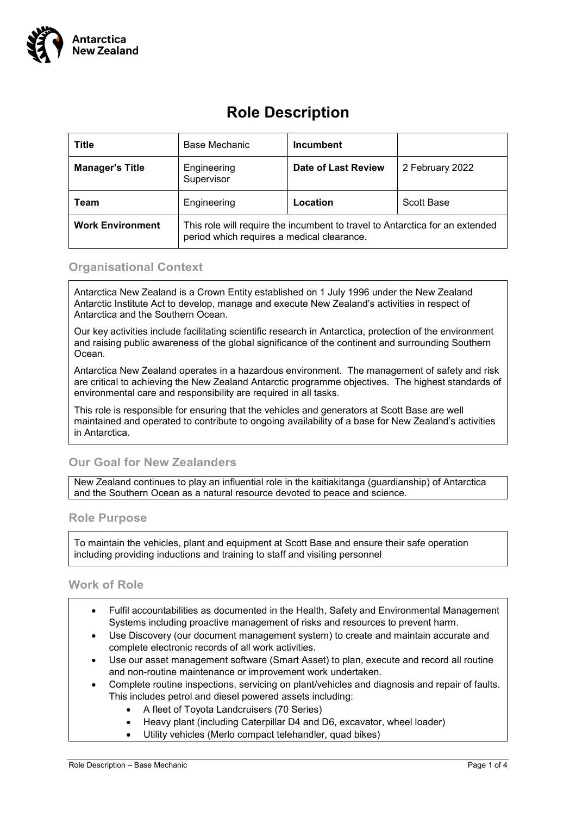

# **Role Description**

| <b>Title</b>            | Base Mechanic                                                                                                              | <b>Incumbent</b>           |                 |
|-------------------------|----------------------------------------------------------------------------------------------------------------------------|----------------------------|-----------------|
| <b>Manager's Title</b>  | Engineering<br>Supervisor                                                                                                  | <b>Date of Last Review</b> | 2 February 2022 |
| Team                    | Engineering                                                                                                                | Location                   | Scott Base      |
| <b>Work Environment</b> | This role will require the incumbent to travel to Antarctica for an extended<br>period which requires a medical clearance. |                            |                 |

### **Organisational Context**

Antarctica New Zealand is a Crown Entity established on 1 July 1996 under the New Zealand Antarctic Institute Act to develop, manage and execute New Zealand's activities in respect of Antarctica and the Southern Ocean.

Our key activities include facilitating scientific research in Antarctica, protection of the environment and raising public awareness of the global significance of the continent and surrounding Southern Ocean.

Antarctica New Zealand operates in a hazardous environment. The management of safety and risk are critical to achieving the New Zealand Antarctic programme objectives. The highest standards of environmental care and responsibility are required in all tasks.

This role is responsible for ensuring that the vehicles and generators at Scott Base are well maintained and operated to contribute to ongoing availability of a base for New Zealand's activities in Antarctica.

# **Our Goal for New Zealanders**

New Zealand continues to play an influential role in the kaitiakitanga (guardianship) of Antarctica and the Southern Ocean as a natural resource devoted to peace and science.

#### **Role Purpose**

To maintain the vehicles, plant and equipment at Scott Base and ensure their safe operation including providing inductions and training to staff and visiting personnel

#### **Work of Role**

- Fulfil accountabilities as documented in the Health, Safety and Environmental Management Systems including proactive management of risks and resources to prevent harm.
- Use Discovery (our document management system) to create and maintain accurate and complete electronic records of all work activities.
- Use our asset management software (Smart Asset) to plan, execute and record all routine and non-routine maintenance or improvement work undertaken.
- Complete routine inspections, servicing on plant/vehicles and diagnosis and repair of faults. This includes petrol and diesel powered assets including:
	- A fleet of Toyota Landcruisers (70 Series)
	- Heavy plant (including Caterpillar D4 and D6, excavator, wheel loader)
	- Utility vehicles (Merlo compact telehandler, quad bikes)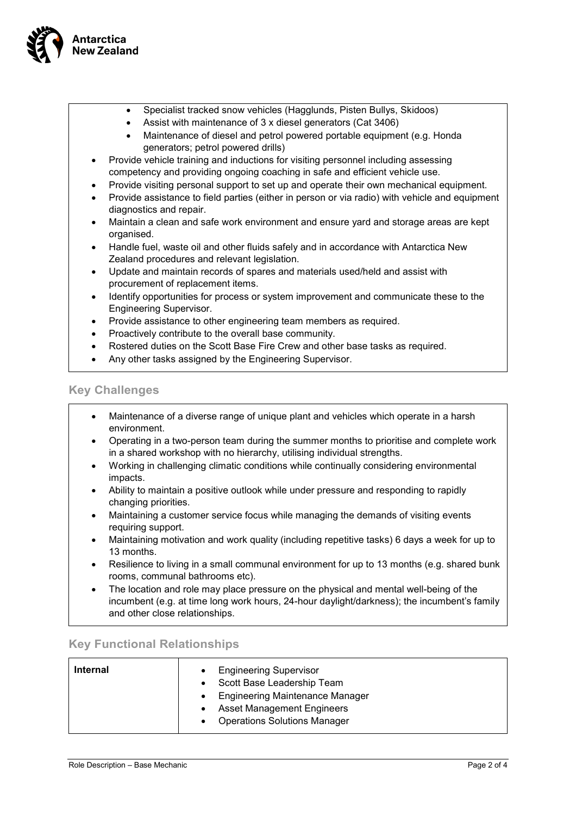

- Specialist tracked snow vehicles (Hagglunds, Pisten Bullys, Skidoos)
- Assist with maintenance of 3 x diesel generators (Cat 3406)
- Maintenance of diesel and petrol powered portable equipment (e.g. Honda generators; petrol powered drills)
- Provide vehicle training and inductions for visiting personnel including assessing competency and providing ongoing coaching in safe and efficient vehicle use.
- Provide visiting personal support to set up and operate their own mechanical equipment.
- Provide assistance to field parties (either in person or via radio) with vehicle and equipment diagnostics and repair.
- Maintain a clean and safe work environment and ensure yard and storage areas are kept organised.
- Handle fuel, waste oil and other fluids safely and in accordance with Antarctica New Zealand procedures and relevant legislation.
- Update and maintain records of spares and materials used/held and assist with procurement of replacement items.
- Identify opportunities for process or system improvement and communicate these to the Engineering Supervisor.
- Provide assistance to other engineering team members as required.
- Proactively contribute to the overall base community.
- Rostered duties on the Scott Base Fire Crew and other base tasks as required.
- Any other tasks assigned by the Engineering Supervisor.

#### **Key Challenges**

- Maintenance of a diverse range of unique plant and vehicles which operate in a harsh environment.
- Operating in a two-person team during the summer months to prioritise and complete work in a shared workshop with no hierarchy, utilising individual strengths.
- Working in challenging climatic conditions while continually considering environmental impacts.
- Ability to maintain a positive outlook while under pressure and responding to rapidly changing priorities.
- Maintaining a customer service focus while managing the demands of visiting events requiring support.
- Maintaining motivation and work quality (including repetitive tasks) 6 days a week for up to 13 months.
- Resilience to living in a small communal environment for up to 13 months (e.g. shared bunk rooms, communal bathrooms etc).
- The location and role may place pressure on the physical and mental well-being of the incumbent (e.g. at time long work hours, 24-hour daylight/darkness); the incumbent's family and other close relationships.

#### **Key Functional Relationships**

| <b>Internal</b> | <b>Engineering Supervisor</b><br>Scott Base Leadership Team |  |
|-----------------|-------------------------------------------------------------|--|
|                 | <b>Engineering Maintenance Manager</b>                      |  |
|                 | <b>Asset Management Engineers</b>                           |  |
|                 | <b>Operations Solutions Manager</b>                         |  |
|                 |                                                             |  |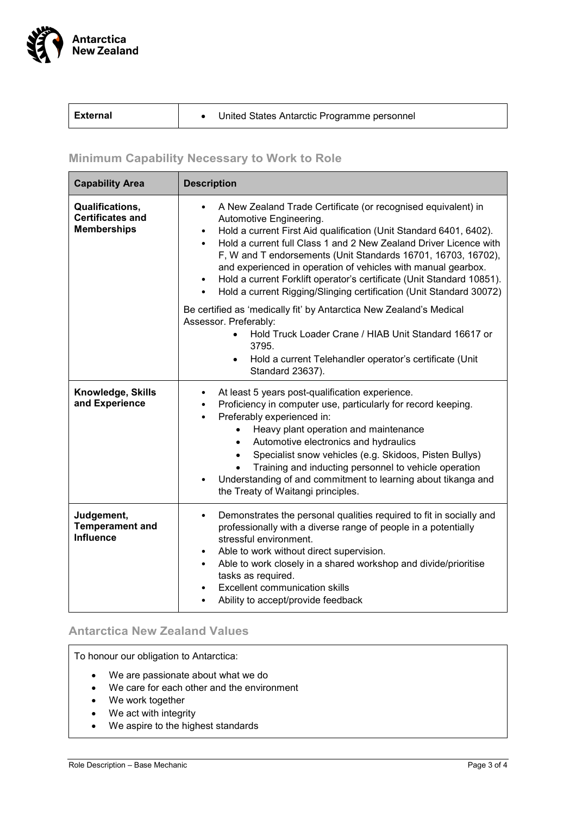

| <b>LExternal</b> | United States Antarctic Programme personnel |
|------------------|---------------------------------------------|
|------------------|---------------------------------------------|

# **Minimum Capability Necessary to Work to Role**

| <b>Capability Area</b>                                           | <b>Description</b>                                                                                                                                                                                                                                                                                                                                                                                                                                                                                                                                                        |  |
|------------------------------------------------------------------|---------------------------------------------------------------------------------------------------------------------------------------------------------------------------------------------------------------------------------------------------------------------------------------------------------------------------------------------------------------------------------------------------------------------------------------------------------------------------------------------------------------------------------------------------------------------------|--|
| Qualifications,<br><b>Certificates and</b><br><b>Memberships</b> | A New Zealand Trade Certificate (or recognised equivalent) in<br>Automotive Engineering.<br>Hold a current First Aid qualification (Unit Standard 6401, 6402).<br>$\bullet$<br>Hold a current full Class 1 and 2 New Zealand Driver Licence with<br>$\bullet$<br>F, W and T endorsements (Unit Standards 16701, 16703, 16702),<br>and experienced in operation of vehicles with manual gearbox.<br>Hold a current Forklift operator's certificate (Unit Standard 10851).<br>$\bullet$<br>Hold a current Rigging/Slinging certification (Unit Standard 30072)<br>$\bullet$ |  |
|                                                                  | Be certified as 'medically fit' by Antarctica New Zealand's Medical<br>Assessor. Preferably:<br>Hold Truck Loader Crane / HIAB Unit Standard 16617 or<br>$\bullet$<br>3795.<br>Hold a current Telehandler operator's certificate (Unit<br>$\bullet$<br>Standard 23637).                                                                                                                                                                                                                                                                                                   |  |
| Knowledge, Skills<br>and Experience                              | At least 5 years post-qualification experience.<br>$\bullet$<br>Proficiency in computer use, particularly for record keeping.<br>$\bullet$<br>Preferably experienced in:<br>$\bullet$<br>Heavy plant operation and maintenance<br>$\bullet$<br>Automotive electronics and hydraulics<br>$\bullet$<br>Specialist snow vehicles (e.g. Skidoos, Pisten Bullys)<br>$\bullet$<br>Training and inducting personnel to vehicle operation<br>Understanding of and commitment to learning about tikanga and<br>$\bullet$<br>the Treaty of Waitangi principles.                     |  |
| Judgement,<br><b>Temperament and</b><br><b>Influence</b>         | Demonstrates the personal qualities required to fit in socially and<br>$\bullet$<br>professionally with a diverse range of people in a potentially<br>stressful environment.<br>Able to work without direct supervision.<br>$\bullet$<br>Able to work closely in a shared workshop and divide/prioritise<br>$\bullet$<br>tasks as required.<br><b>Excellent communication skills</b><br>$\bullet$<br>Ability to accept/provide feedback<br>$\bullet$                                                                                                                      |  |

# **Antarctica New Zealand Values**

To honour our obligation to Antarctica:

- We are passionate about what we do
- We care for each other and the environment
- We work together
- We act with integrity
- We aspire to the highest standards